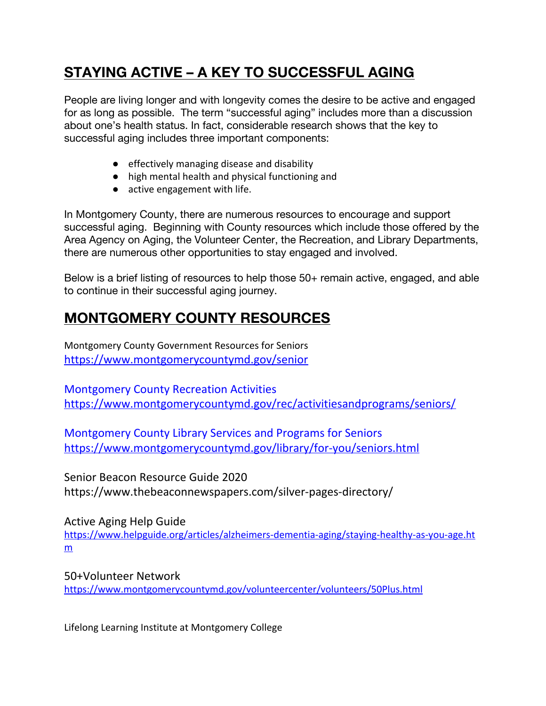## **STAYING ACTIVE – A KEY TO SUCCESSFUL AGING**

People are living longer and with longevity comes the desire to be active and engaged for as long as possible. The term "successful aging" includes more than a discussion about one's health status. In fact, considerable research shows that the key to successful aging includes three important components:

- effectively managing disease and disability
- high mental health and physical functioning and
- active engagement with life.

In Montgomery County, there are numerous resources to encourage and support successful aging. Beginning with County resources which include those offered by the Area Agency on Aging, the Volunteer Center, the Recreation, and Library Departments, there are numerous other opportunities to stay engaged and involved.

Below is a brief listing of resources to help those 50+ remain active, engaged, and able to continue in their successful aging journey.

## **MONTGOMERY COUNTY RESOURCES**

Montgomery County Government Resources for Seniors <https://www.montgomerycountymd.gov/senior>

Montgomery County Recreation Activities <https://www.montgomerycountymd.gov/rec/activitiesandprograms/seniors/>

Montgomery County Library Services and Programs for Seniors https://www.montgomerycountymd.gov/library/for-you/seniors.html

Senior Beacon Resource Guide 2020 https://www.thebeaconnewspapers.com/silver-pages-directory/

Active Aging Help Guide [https://www.helpguide.org/articles/alzheimers-dementia-aging/staying-healthy-as-you-age.ht](https://www.helpguide.org/articles/alzheimers-dementia-aging/staying-healthy-as-you-age.htm) [m](https://www.helpguide.org/articles/alzheimers-dementia-aging/staying-healthy-as-you-age.htm)

50+Volunteer Network <https://www.montgomerycountymd.gov/volunteercenter/volunteers/50Plus.html>

Lifelong Learning Institute at Montgomery College